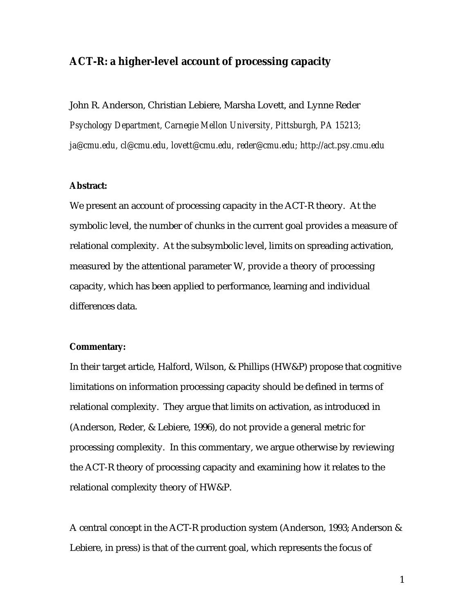## **ACT-R: a higher-level account of processing capacity**

John R. Anderson, Christian Lebiere, Marsha Lovett, and Lynne Reder *Psychology Department, Carnegie Mellon University, Pittsburgh, PA 15213; ja@cmu.edu, cl@cmu.edu, lovett@cmu.edu, reder@cmu.edu; http://act.psy.cmu.edu*

## **Abstract:**

We present an account of processing capacity in the ACT-R theory. At the symbolic level, the number of chunks in the current goal provides a measure of relational complexity. At the subsymbolic level, limits on spreading activation, measured by the attentional parameter W, provide a theory of processing capacity, which has been applied to performance, learning and individual differences data.

## **Commentary:**

In their target article, Halford, Wilson, & Phillips (HW&P) propose that cognitive limitations on information processing capacity should be defined in terms of relational complexity. They argue that limits on activation, as introduced in (Anderson, Reder, & Lebiere, 1996), do not provide a general metric for processing complexity. In this commentary, we argue otherwise by reviewing the ACT-R theory of processing capacity and examining how it relates to the relational complexity theory of HW&P.

A central concept in the ACT-R production system (Anderson, 1993; Anderson & Lebiere, in press) is that of the current goal, which represents the focus of

1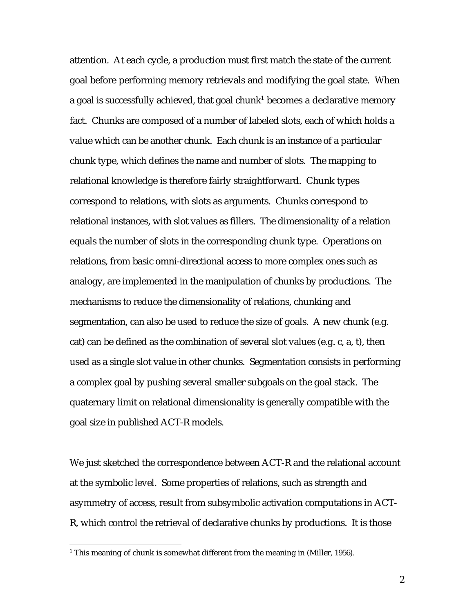attention. At each cycle, a production must first match the state of the current goal before performing memory retrievals and modifying the goal state. When a goal is successfully achieved, that goal chunk $^{\rm 1}$  becomes a declarative memory fact. Chunks are composed of a number of labeled slots, each of which holds a value which can be another chunk. Each chunk is an instance of a particular chunk type, which defines the name and number of slots. The mapping to relational knowledge is therefore fairly straightforward. Chunk types correspond to relations, with slots as arguments. Chunks correspond to relational instances, with slot values as fillers. The dimensionality of a relation equals the number of slots in the corresponding chunk type. Operations on relations, from basic omni-directional access to more complex ones such as analogy, are implemented in the manipulation of chunks by productions. The mechanisms to reduce the dimensionality of relations, chunking and segmentation, can also be used to reduce the size of goals. A new chunk (e.g. cat) can be defined as the combination of several slot values (e.g. c, a, t), then used as a single slot value in other chunks. Segmentation consists in performing a complex goal by pushing several smaller subgoals on the goal stack. The quaternary limit on relational dimensionality is generally compatible with the goal size in published ACT-R models.

We just sketched the correspondence between ACT-R and the relational account at the symbolic level. Some properties of relations, such as strength and asymmetry of access, result from subsymbolic activation computations in ACT-R, which control the retrieval of declarative chunks by productions. It is those

 $\overline{a}$ 

 $1$  This meaning of chunk is somewhat different from the meaning in (Miller, 1956).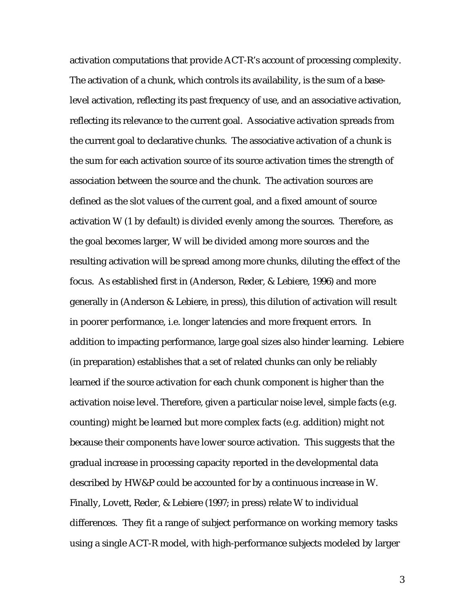activation computations that provide ACT-R's account of processing complexity. The activation of a chunk, which controls its availability, is the sum of a baselevel activation, reflecting its past frequency of use, and an associative activation, reflecting its relevance to the current goal. Associative activation spreads from the current goal to declarative chunks. The associative activation of a chunk is the sum for each activation source of its source activation times the strength of association between the source and the chunk. The activation sources are defined as the slot values of the current goal, and a fixed amount of source activation W (1 by default) is divided evenly among the sources. Therefore, as the goal becomes larger, W will be divided among more sources and the resulting activation will be spread among more chunks, diluting the effect of the focus. As established first in (Anderson, Reder, & Lebiere, 1996) and more generally in (Anderson & Lebiere, in press), this dilution of activation will result in poorer performance, i.e. longer latencies and more frequent errors. In addition to impacting performance, large goal sizes also hinder learning. Lebiere (in preparation) establishes that a set of related chunks can only be reliably learned if the source activation for each chunk component is higher than the activation noise level. Therefore, given a particular noise level, simple facts (e.g. counting) might be learned but more complex facts (e.g. addition) might not because their components have lower source activation. This suggests that the gradual increase in processing capacity reported in the developmental data described by HW&P could be accounted for by a continuous increase in W. Finally, Lovett, Reder, & Lebiere (1997; in press) relate W to individual differences. They fit a range of subject performance on working memory tasks using a single ACT-R model, with high-performance subjects modeled by larger

3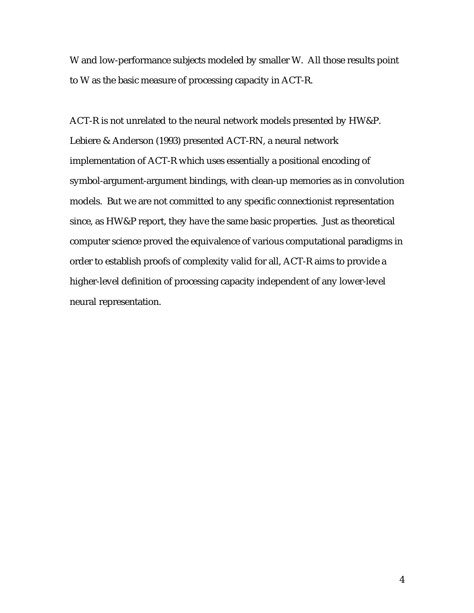W and low-performance subjects modeled by smaller W. All those results point to W as the basic measure of processing capacity in ACT-R.

ACT-R is not unrelated to the neural network models presented by HW&P. Lebiere & Anderson (1993) presented ACT-RN, a neural network implementation of ACT-R which uses essentially a positional encoding of symbol-argument-argument bindings, with clean-up memories as in convolution models. But we are not committed to any specific connectionist representation since, as HW&P report, they have the same basic properties. Just as theoretical computer science proved the equivalence of various computational paradigms in order to establish proofs of complexity valid for all, ACT-R aims to provide a higher-level definition of processing capacity independent of any lower-level neural representation.